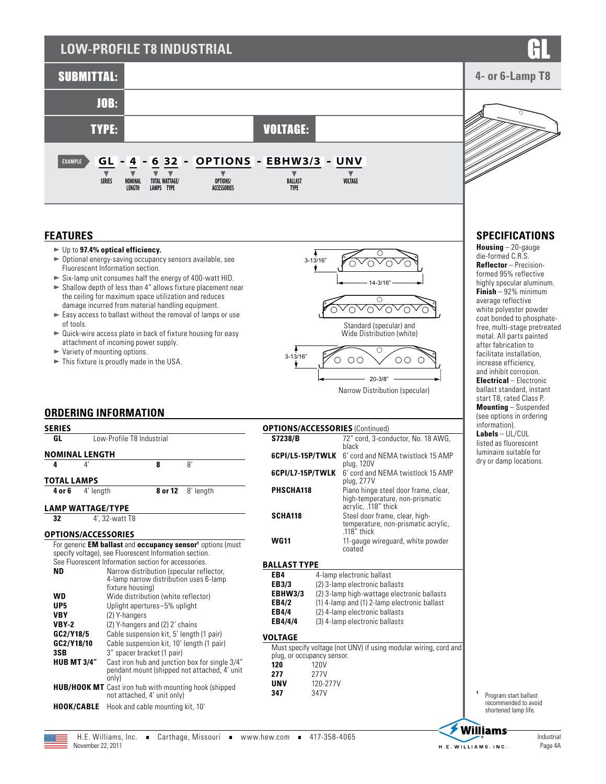# **LOW-PROFILE T8 INDUSTRIAL**



### **FEATURES**

- ► Up to 97.4% optical efficiency.
- $\triangleright$  Optional energy-saving occupancy sensors available, see Fluorescent Information section.
- $\blacktriangleright$  Six-lamp unit consumes half the energy of 400-watt HID.
- $\blacktriangleright$  Shallow depth of less than 4" allows fixture placement near the ceiling for maximum space utilization and reduces damage incurred from material handling equipment.
- $\blacktriangleright$  Easy access to ballast without the removal of lamps or use of tools.
- $\blacktriangleright$  Quick-wire access plate in back of fixture housing for easy attachment of incoming power supply.
- $\blacktriangleright$  Variety of mounting options.
- $\blacktriangleright$  This fixture is proudly made in the USA.



Narrow Distribution (specular)

### **ORDERING INFORMATION**

| <b>SERIES</b>                                                                        |                                                                                                                                                                                                                                                                               |                                                                                                                                                                                                                                                                                                                                |                                                                        | <b>OPTIONS/ACCESSORIES (Continued)</b>                                               |                                                                                                                                                                                                                                |                                                                                                             |  |
|--------------------------------------------------------------------------------------|-------------------------------------------------------------------------------------------------------------------------------------------------------------------------------------------------------------------------------------------------------------------------------|--------------------------------------------------------------------------------------------------------------------------------------------------------------------------------------------------------------------------------------------------------------------------------------------------------------------------------|------------------------------------------------------------------------|--------------------------------------------------------------------------------------|--------------------------------------------------------------------------------------------------------------------------------------------------------------------------------------------------------------------------------|-------------------------------------------------------------------------------------------------------------|--|
| GL                                                                                   |                                                                                                                                                                                                                                                                               | Low-Profile T8 Industrial                                                                                                                                                                                                                                                                                                      |                                                                        |                                                                                      |                                                                                                                                                                                                                                | 72" cord, 3-conductor, No. 18 AWG,                                                                          |  |
| <b>NOMINAL LENGTH</b>                                                                |                                                                                                                                                                                                                                                                               |                                                                                                                                                                                                                                                                                                                                |                                                                        | 6CPI/L5-15P/TWLK                                                                     |                                                                                                                                                                                                                                | black<br>6' cord and NEMA twistlock 15 AMP                                                                  |  |
| $\mathbf{4}'$<br>4<br><b>TOTAL LAMPS</b>                                             |                                                                                                                                                                                                                                                                               | 8'<br>8                                                                                                                                                                                                                                                                                                                        |                                                                        | 6CPI/L7-15P/TWLK                                                                     |                                                                                                                                                                                                                                | plug, 120V<br>6' cord and NEMA twistlock 15 AMP<br>plug, 277V                                               |  |
| 4 or 6                                                                               | 4' length                                                                                                                                                                                                                                                                     | 8 or 12                                                                                                                                                                                                                                                                                                                        | 8' length                                                              | PHSCHA118                                                                            |                                                                                                                                                                                                                                | Piano hinge steel door frame, clear.<br>high-temperature, non-prismatic                                     |  |
| <b>LAMP WATTAGE/TYPE</b><br>32<br><b>OPTIONS/ACCESSORIES</b>                         | 4', 32-watt T8                                                                                                                                                                                                                                                                |                                                                                                                                                                                                                                                                                                                                |                                                                        | <b>SCHA118</b>                                                                       |                                                                                                                                                                                                                                | acrylic, .118" thick<br>Steel door frame, clear, high-<br>temperature, non-prismatic acrylic,<br>118" thick |  |
|                                                                                      | specify voltage), see Fluorescent Information section.                                                                                                                                                                                                                        |                                                                                                                                                                                                                                                                                                                                | For generic EM ballast and occupancy sensor <sup>1</sup> options (must | <b>WG11</b>                                                                          |                                                                                                                                                                                                                                | 11-gauge wireguard, white powder<br>coated                                                                  |  |
| See Fluorescent Information section for accessories.                                 |                                                                                                                                                                                                                                                                               |                                                                                                                                                                                                                                                                                                                                |                                                                        | <b>BALLAST TYPE</b>                                                                  |                                                                                                                                                                                                                                |                                                                                                             |  |
| <b>ND</b><br><b>WD</b><br>UP <sub>5</sub><br><b>VBY</b><br><b>VBY-2</b><br>GC2/Y18/5 | Narrow distribution (specular reflector,<br>4-lamp narrow distribution uses 6-lamp<br>fixture housing)<br>Wide distribution (white reflector)<br>Uplight apertures-5% uplight<br>(2) Y-hangers<br>(2) Y-hangers and (2) 2' chains<br>Cable suspension kit, 5' length (1 pair) |                                                                                                                                                                                                                                                                                                                                |                                                                        | EB4<br>EB3/3<br><b>EBHW3/3</b><br>EB4/2<br><b>EB4/4</b><br>EB4/4/4<br><b>VOLTAGE</b> | 4-lamp electronic ballast<br>(2) 3-lamp electronic ballasts<br>(2) 3-lamp high-wattage electronic ballasts<br>(1) 4-lamp and (1) 2-lamp electronic ballast<br>(2) 4-lamp electronic ballasts<br>(3) 4-lamp electronic ballasts |                                                                                                             |  |
| GC2/Y18/10<br>3SB<br><b>HUB MT 3/4"</b>                                              | only)                                                                                                                                                                                                                                                                         | Cable suspension kit, 10' length (1 pair)<br>3" spacer bracket (1 pair)<br>Cast iron hub and junction box for single 3/4"<br>pendant mount (shipped not attached, 4' unit<br><b>HUB/HOOK MT</b> Cast iron hub with mounting hook (shipped<br>not attached, 4' unit only)<br><b>HOOK/CABLE</b> Hook and cable mounting kit, 10' |                                                                        |                                                                                      | Must specify voltage (not UNV) if using modular wiring, cord and<br>plug, or occupancy sensor.<br>120V<br>120<br>277V<br>277<br><b>UNV</b><br>120-277V<br>347V<br>347                                                          |                                                                                                             |  |



**<sup>1</sup>** Program start ballast recommended to avoid shortened lamp life.

## **SPECIFICATIONS**

**Housing** – 20-gauge die-formed C.R.S. **Reflector** – Precisionformed 95% reflective highly specular aluminum. **Finish** – 92% minimum average reflective white polyester powder coat bonded to phosphatefree, multi-stage pretreated metal. All parts painted after fabrication to facilitate installation, increase efficiency, and inhibit corrosion. **Electrical** – Electronic ballast standard, instant start T8, rated Class P. **Mounting** – Suspended (see options in ordering information). **Labels** – UL/CUL listed as fluorescent luminaire suitable for dry or damp locations.